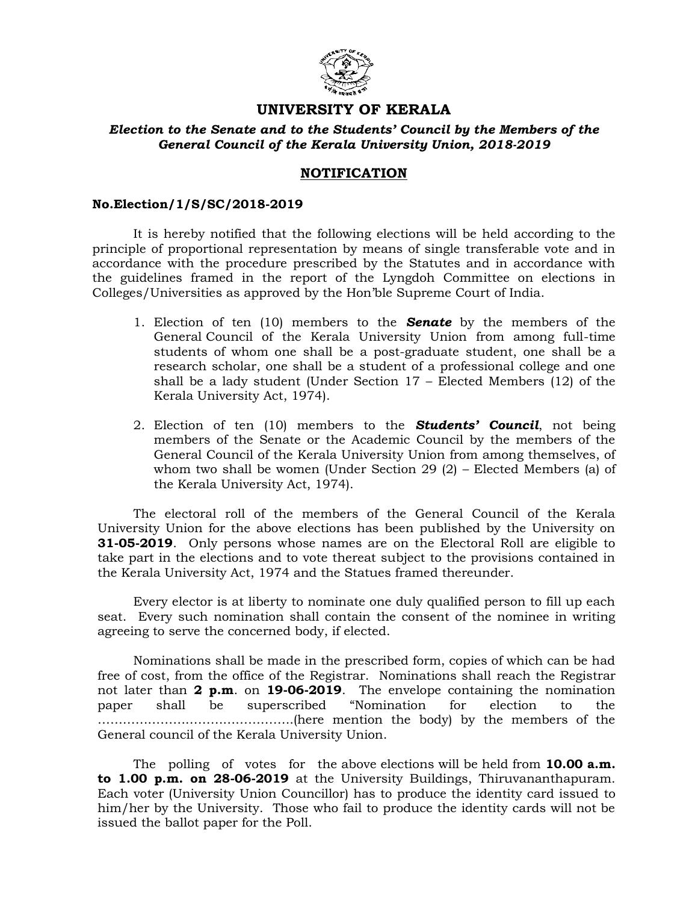

# **UNIVERSITY OF KERALA**

### *Election to the Senate and to the Students' Council by the Members of the General Council of the Kerala University Union, 2018-2019*

## **NOTIFICATION**

#### **No.Election/1/S/SC/2018-2019**

It is hereby notified that the following elections will be held according to the principle of proportional representation by means of single transferable vote and in accordance with the procedure prescribed by the Statutes and in accordance with the guidelines framed in the report of the Lyngdoh Committee on elections in Colleges/Universities as approved by the Hon'ble Supreme Court of India.

- 1. Election of ten (10) members to the *Senate* by the members of the General Council of the Kerala University Union from among full-time students of whom one shall be a post-graduate student, one shall be a research scholar, one shall be a student of a professional college and one shall be a lady student (Under Section 17 – Elected Members (12) of the Kerala University Act, 1974).
- 2. Election of ten (10) members to the *Students' Council*, not being members of the Senate or the Academic Council by the members of the General Council of the Kerala University Union from among themselves, of whom two shall be women (Under Section 29 (2) – Elected Members (a) of the Kerala University Act, 1974).

The electoral roll of the members of the General Council of the Kerala University Union for the above elections has been published by the University on **31-05-2019**. Only persons whose names are on the Electoral Roll are eligible to take part in the elections and to vote thereat subject to the provisions contained in the Kerala University Act, 1974 and the Statues framed thereunder.

Every elector is at liberty to nominate one duly qualified person to fill up each seat. Every such nomination shall contain the consent of the nominee in writing agreeing to serve the concerned body, if elected.

Nominations shall be made in the prescribed form, copies of which can be had free of cost, from the office of the Registrar. Nominations shall reach the Registrar not later than **2 p.m**. on **19-06-2019**. The envelope containing the nomination paper shall be superscribed "Nomination for election to the ………………………………………..(here mention the body) by the members of the General council of the Kerala University Union.

The polling of votes for the above elections will be held from **10.00 a.m. to 1.00 p.m. on 28-06-2019** at the University Buildings, Thiruvananthapuram. Each voter (University Union Councillor) has to produce the identity card issued to him/her by the University. Those who fail to produce the identity cards will not be issued the ballot paper for the Poll.